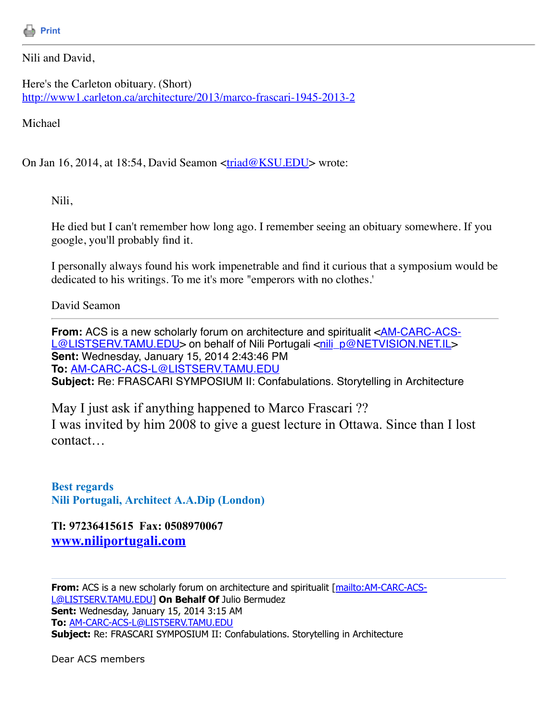

Nili and David,

Here's the Carleton obituary. (Short) <http://www1.carleton.ca/architecture/2013/marco-frascari-1945-2013-2>

Michael

On Jan 16, 2014, at 18:54, David Seamon  $\langle \frac{\text{triad@KSU.EDU}}{\text{10}} \rangle$  $\langle \frac{\text{triad@KSU.EDU}}{\text{10}} \rangle$  $\langle \frac{\text{triad@KSU.EDU}}{\text{10}} \rangle$  wrote:

Nili,

He died but I can't remember how long ago. I remember seeing an obituary somewhere. If you google, you'll probably find it.

I personally always found his work impenetrable and find it curious that a symposium would be dedicated to his writings. To me it's more "emperors with no clothes.'

David Seamon

**From:** ACS is a new scholarly forum on architecture and spiritualit <AM-CARC-ACS-[L@LISTSERV.TAMU.EDU> on behalf of Nili Portugali <nili\\_p@NETVISION.NET.IL>](mailto:AM-CARC-ACS-L@LISTSERV.TAMU.EDU) **Sent:** Wednesday, January 15, 2014 2:43:46 PM **To:** [AM-CARC-ACS-L@LISTSERV.TAMU.EDU](mailto:AM-CARC-ACS-L@LISTSERV.TAMU.EDU) **Subject:** Re: FRASCARI SYMPOSIUM II: Confabulations. Storytelling in Architecture

May I just ask if anything happened to Marco Frascari ?? I was invited by him 2008 to give a guest lecture in Ottawa. Since than I lost contact…

**Best regards Nili Portugali, Architect A.A.Dip (London)**

**Tl: 97236415615 Fax: 0508970067 [www.niliportugali.com](http://www.niliportugali.com/)**

From: [ACS is a new scholarly forum on architecture and spiritualit \[mailto:AM-CARC-ACS-](mailto:AM-CARC-ACS-L@LISTSERV.TAMU.EDU)L@LISTSERV.TAMU.EDU] **On Behalf Of** Julio Bermudez **Sent:** Wednesday, January 15, 2014 3:15 AM **To:** [AM-CARC-ACS-L@LISTSERV.TAMU.EDU](mailto:AM-CARC-ACS-L@LISTSERV.TAMU.EDU) **Subject:** Re: FRASCARI SYMPOSIUM II: Confabulations. Storytelling in Architecture

Dear ACS members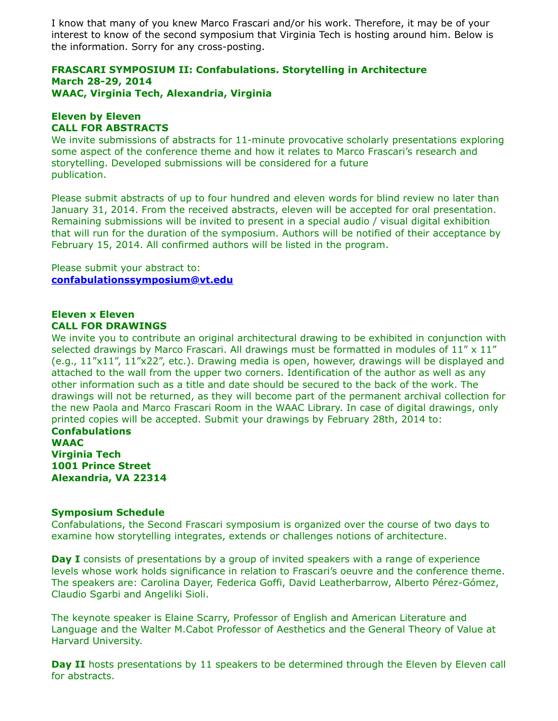I know that many of you knew Marco Frascari and/or his work. Therefore, it may be of your interest to know of the second symposium that Virginia Tech is hosting around him. Below is the information. Sorry for any cross-posting.

## **FRASCARI SYMPOSIUM II: Confabulations. Storytelling in Architecture March 28-29, 2014 WAAC, Virginia Tech, Alexandria, Virginia**

# **Eleven by Eleven CALL FOR ABSTRACTS**

We invite submissions of abstracts for 11-minute provocative scholarly presentations exploring some aspect of the conference theme and how it relates to Marco Frascari's research and storytelling. Developed submissions will be considered for a future publication.

Please submit abstracts of up to four hundred and eleven words for blind review no later than January 31, 2014. From the received abstracts, eleven will be accepted for oral presentation. Remaining submissions will be invited to present in a special audio / visual digital exhibition that will run for the duration of the symposium. Authors will be notified of their acceptance by February 15, 2014. All confirmed authors will be listed in the program.

Please submit your abstract to: **[confabulationssymposium@vt.edu](https://listserv.tamu.edu/cgi-bin/confabulationssymposium@vt.edu)**

### **Eleven x Eleven CALL FOR DRAWINGS**

We invite you to contribute an original architectural drawing to be exhibited in conjunction with selected drawings by Marco Frascari. All drawings must be formatted in modules of  $11'' \times 11''$ (e.g., 11"x11", 11"x22", etc.). Drawing media is open, however, drawings will be displayed and attached to the wall from the upper two corners. Identification of the author as well as any other information such as a title and date should be secured to the back of the work. The drawings will not be returned, as they will become part of the permanent archival collection for the new Paola and Marco Frascari Room in the WAAC Library. In case of digital drawings, only printed copies will be accepted. Submit your drawings by February 28th, 2014 to:

**Confabulations WAAC Virginia Tech 1001 Prince Street Alexandria, VA 22314**

# **Symposium Schedule**

Confabulations, the Second Frascari symposium is organized over the course of two days to examine how storytelling integrates, extends or challenges notions of architecture.

**Day I** consists of presentations by a group of invited speakers with a range of experience levels whose work holds significance in relation to Frascari's oeuvre and the conference theme. The speakers are: Carolina Dayer, Federica Goffi, David Leatherbarrow, Alberto Pérez-Gómez, Claudio Sgarbi and Angeliki Sioli.

The keynote speaker is Elaine Scarry, Professor of English and American Literature and Language and the Walter M.Cabot Professor of Aesthetics and the General Theory of Value at Harvard University.

**Day II** hosts presentations by 11 speakers to be determined through the Eleven by Eleven call for abstracts.